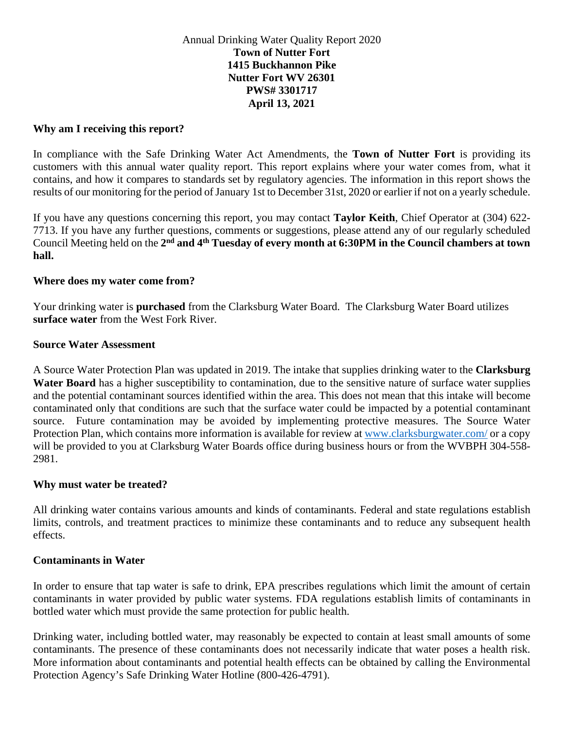# Annual Drinking Water Quality Report 2020 **Town of Nutter Fort 1415 Buckhannon Pike Nutter Fort WV 26301 PWS# 3301717 April 13, 2021**

## **Why am I receiving this report?**

In compliance with the Safe Drinking Water Act Amendments, the **Town of Nutter Fort** is providing its customers with this annual water quality report. This report explains where your water comes from, what it contains, and how it compares to standards set by regulatory agencies. The information in this report shows the results of our monitoring for the period of January 1st to December 31st, 2020 or earlier if not on a yearly schedule.

If you have any questions concerning this report, you may contact **Taylor Keith**, Chief Operator at (304) 622- 7713. If you have any further questions, comments or suggestions, please attend any of our regularly scheduled Council Meeting held on the **2nd and 4th Tuesday of every month at 6:30PM in the Council chambers at town hall.** 

### **Where does my water come from?**

Your drinking water is **purchased** from the Clarksburg Water Board. The Clarksburg Water Board utilizes **surface water** from the West Fork River.

### **Source Water Assessment**

A Source Water Protection Plan was updated in 2019. The intake that supplies drinking water to the **Clarksburg Water Board** has a higher susceptibility to contamination, due to the sensitive nature of surface water supplies and the potential contaminant sources identified within the area. This does not mean that this intake will become contaminated only that conditions are such that the surface water could be impacted by a potential contaminant source. Future contamination may be avoided by implementing protective measures. The Source Water Protection Plan, which contains more information is available for review at [www.clarksburgwater.com/](http://www.clarksburgwater.com/) or a copy will be provided to you at Clarksburg Water Boards office during business hours or from the WVBPH 304-558-2981.

### **Why must water be treated?**

All drinking water contains various amounts and kinds of contaminants. Federal and state regulations establish limits, controls, and treatment practices to minimize these contaminants and to reduce any subsequent health effects.

### **Contaminants in Water**

In order to ensure that tap water is safe to drink, EPA prescribes regulations which limit the amount of certain contaminants in water provided by public water systems. FDA regulations establish limits of contaminants in bottled water which must provide the same protection for public health.

Drinking water, including bottled water, may reasonably be expected to contain at least small amounts of some contaminants. The presence of these contaminants does not necessarily indicate that water poses a health risk. More information about contaminants and potential health effects can be obtained by calling the Environmental Protection Agency's Safe Drinking Water Hotline (800-426-4791).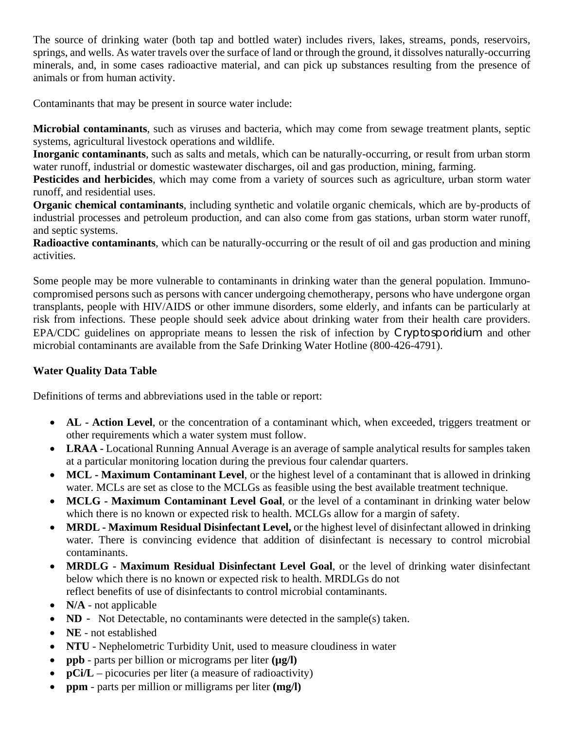The source of drinking water (both tap and bottled water) includes rivers, lakes, streams, ponds, reservoirs, springs, and wells. As water travels over the surface of land or through the ground, it dissolves naturally-occurring minerals, and, in some cases radioactive material, and can pick up substances resulting from the presence of animals or from human activity.

Contaminants that may be present in source water include:

**Microbial contaminants**, such as viruses and bacteria, which may come from sewage treatment plants, septic systems, agricultural livestock operations and wildlife.

**Inorganic contaminants**, such as salts and metals, which can be naturally-occurring, or result from urban storm water runoff, industrial or domestic wastewater discharges, oil and gas production, mining, farming.

**Pesticides and herbicides**, which may come from a variety of sources such as agriculture, urban storm water runoff, and residential uses.

**Organic chemical contaminants**, including synthetic and volatile organic chemicals, which are by-products of industrial processes and petroleum production, and can also come from gas stations, urban storm water runoff, and septic systems.

**Radioactive contaminants**, which can be naturally-occurring or the result of oil and gas production and mining activities.

Some people may be more vulnerable to contaminants in drinking water than the general population. Immunocompromised persons such as persons with cancer undergoing chemotherapy, persons who have undergone organ transplants, people with HIV/AIDS or other immune disorders, some elderly, and infants can be particularly at risk from infections. These people should seek advice about drinking water from their health care providers. EPA/CDC guidelines on appropriate means to lessen the risk of infection by Cryptosporidium and other microbial contaminants are available from the Safe Drinking Water Hotline (800-426-4791).

# **Water Quality Data Table**

Definitions of terms and abbreviations used in the table or report:

- **AL Action Level**, or the concentration of a contaminant which, when exceeded, triggers treatment or other requirements which a water system must follow.
- **LRAA -** Locational Running Annual Average is an average of sample analytical results for samples taken at a particular monitoring location during the previous four calendar quarters.
- **MCL - Maximum Contaminant Level**, or the highest level of a contaminant that is allowed in drinking water. MCLs are set as close to the MCLGs as feasible using the best available treatment technique.
- **MCLG - Maximum Contaminant Level Goal**, or the level of a contaminant in drinking water below which there is no known or expected risk to health. MCLGs allow for a margin of safety.
- **MRDL - Maximum Residual Disinfectant Level,** or the highest level of disinfectant allowed in drinking water. There is convincing evidence that addition of disinfectant is necessary to control microbial contaminants.
- **MRDLG - Maximum Residual Disinfectant Level Goal**, or the level of drinking water disinfectant below which there is no known or expected risk to health. MRDLGs do not reflect benefits of use of disinfectants to control microbial contaminants.
- **N/A** not applicable
- **ND** Not Detectable, no contaminants were detected in the sample(s) taken.
- **NE**  not established
- **NTU** Nephelometric Turbidity Unit, used to measure cloudiness in water
- **ppb** parts per billion or micrograms per liter **(µg/l)**
- **pCi/L** picocuries per liter (a measure of radioactivity)
- **ppm**  parts per million or milligrams per liter **(mg/l)**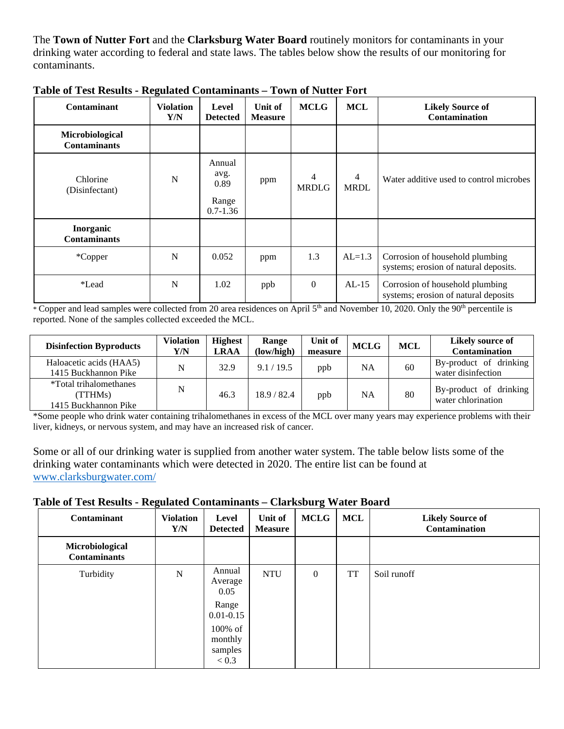The **Town of Nutter Fort** and the **Clarksburg Water Board** routinely monitors for contaminants in your drinking water according to federal and state laws. The tables below show the results of our monitoring for contaminants.

| <b>Contaminant</b>                     | <b>Violation</b><br>Y/N | Level<br><b>Detected</b>                        | Unit of<br><b>Measure</b> | <b>MCLG</b>       | <b>MCL</b>                    | <b>Likely Source of</b><br><b>Contamination</b>                          |
|----------------------------------------|-------------------------|-------------------------------------------------|---------------------------|-------------------|-------------------------------|--------------------------------------------------------------------------|
| Microbiological<br><b>Contaminants</b> |                         |                                                 |                           |                   |                               |                                                                          |
| Chlorine<br>(Disinfectant)             | $\mathbf N$             | Annual<br>avg.<br>0.89<br>Range<br>$0.7 - 1.36$ | ppm                       | 4<br><b>MRDLG</b> | $\overline{4}$<br><b>MRDL</b> | Water additive used to control microbes                                  |
| Inorganic<br><b>Contaminants</b>       |                         |                                                 |                           |                   |                               |                                                                          |
| *Copper                                | N                       | 0.052                                           | ppm                       | 1.3               | $AL=1.3$                      | Corrosion of household plumbing<br>systems; erosion of natural deposits. |
| *Lead                                  | N                       | 1.02                                            | ppb                       | $\Omega$          | $AL-15$                       | Corrosion of household plumbing<br>systems; erosion of natural deposits  |

**Table of Test Results - Regulated Contaminants** *–* **Town of Nutter Fort**

\* Copper and lead samples were collected from 20 area residences on April 5th and November 10, 2020. Only the 90th percentile is reported. None of the samples collected exceeded the MCL.

| <b>Disinfection Byproducts</b>                                   | <b>Violation</b><br>Y/N | <b>Highest</b><br><b>LRAA</b> | Range<br>(low/high) | Unit of<br>measure | <b>MCLG</b> | <b>MCL</b> | Likely source of<br><b>Contamination</b>     |
|------------------------------------------------------------------|-------------------------|-------------------------------|---------------------|--------------------|-------------|------------|----------------------------------------------|
| Haloacetic acids (HAA5)<br>1415 Buckhannon Pike                  | N                       | 32.9                          | 9.1 / 19.5          | ppb                | NA          | 60         | By-product of drinking<br>water disinfection |
| <i>*Total trihalomethanes</i><br>(TTHMs)<br>1415 Buckhannon Pike | N                       | 46.3                          | 18.9 / 82.4         | ppb                | NA          | 80         | By-product of drinking<br>water chlorination |

\*Some people who drink water containing trihalomethanes in excess of the MCL over many years may experience problems with their liver, kidneys, or nervous system, and may have an increased risk of cancer.

Some or all of our drinking water is supplied from another water system. The table below lists some of the drinking water contaminants which were detected in 2020. The entire list can be found at [www.clarksburgwater.com/](http://www.clarksburgwater.com/)

# **Table of Test Results - Regulated Contaminants** *–* **Clarksburg Water Board**

| Contaminant                            | <b>Violation</b><br>Y/N | Level<br><b>Detected</b>               | Unit of<br><b>Measure</b> | <b>MCLG</b>  | <b>MCL</b> | <b>Likely Source of</b><br>Contamination |
|----------------------------------------|-------------------------|----------------------------------------|---------------------------|--------------|------------|------------------------------------------|
| Microbiological<br><b>Contaminants</b> |                         |                                        |                           |              |            |                                          |
| Turbidity                              | ${\bf N}$               | Annual<br>Average<br>0.05              | <b>NTU</b>                | $\mathbf{0}$ | <b>TT</b>  | Soil runoff                              |
|                                        |                         | Range<br>$0.01 - 0.15$                 |                           |              |            |                                          |
|                                        |                         | 100% of<br>monthly<br>samples<br>< 0.3 |                           |              |            |                                          |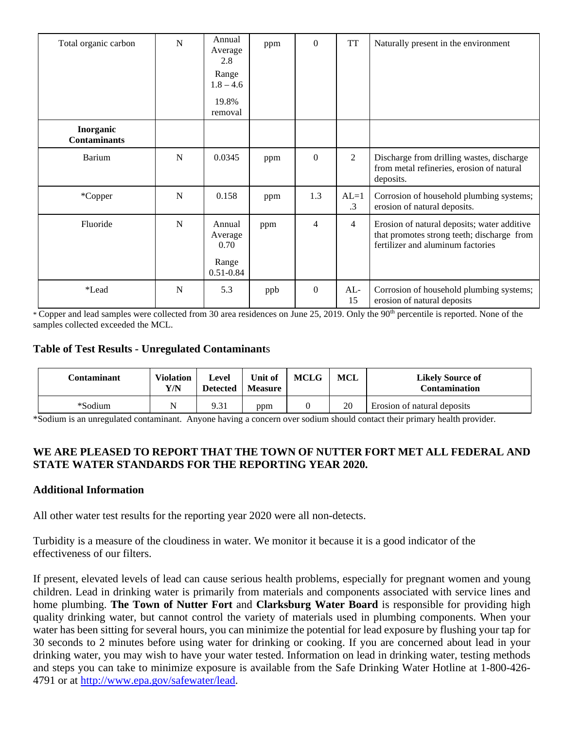| Total organic carbon             | N           | Annual<br>Average<br>2.8<br>Range<br>$1.8 - 4.6$<br>19.8%<br>removal | ppm | $\Omega$     | <b>TT</b>           | Naturally present in the environment                                                                                           |
|----------------------------------|-------------|----------------------------------------------------------------------|-----|--------------|---------------------|--------------------------------------------------------------------------------------------------------------------------------|
| Inorganic<br><b>Contaminants</b> |             |                                                                      |     |              |                     |                                                                                                                                |
| Barium                           | $\mathbf N$ | 0.0345                                                               | ppm | $\mathbf{0}$ | 2                   | Discharge from drilling wastes, discharge<br>from metal refineries, erosion of natural<br>deposits.                            |
| *Copper                          | N           | 0.158                                                                | ppm | 1.3          | $AL=1$<br>$\cdot$ 3 | Corrosion of household plumbing systems;<br>erosion of natural deposits.                                                       |
| Fluoride                         | $\mathbf N$ | Annual<br>Average<br>0.70<br>Range<br>$0.51 - 0.84$                  | ppm | 4            | $\overline{4}$      | Erosion of natural deposits; water additive<br>that promotes strong teeth; discharge from<br>fertilizer and aluminum factories |
| *Lead                            | N           | 5.3                                                                  | ppb | $\Omega$     | $AL-$<br>15         | Corrosion of household plumbing systems;<br>erosion of natural deposits                                                        |

 $*$  Copper and lead samples were collected from 30 area residences on June 25, 2019. Only the 90<sup>th</sup> percentile is reported. None of the samples collected exceeded the MCL.

# **Table of Test Results - Unregulated Contaminant**s

| Contaminant | <b>Violation</b><br>Y/N | Level<br>Detected | Unit of<br><b>Measure</b> | <b>MCLG</b> | MCL | <b>Likely Source of</b><br><b>Contamination</b> |
|-------------|-------------------------|-------------------|---------------------------|-------------|-----|-------------------------------------------------|
| *Sodium     |                         | 9.31              | ppm                       |             | 20  | Erosion of natural deposits                     |

\*Sodium is an unregulated contaminant. Anyone having a concern over sodium should contact their primary health provider.

### **WE ARE PLEASED TO REPORT THAT THE TOWN OF NUTTER FORT MET ALL FEDERAL AND STATE WATER STANDARDS FOR THE REPORTING YEAR 2020.**

### **Additional Information**

All other water test results for the reporting year 2020 were all non-detects.

Turbidity is a measure of the cloudiness in water. We monitor it because it is a good indicator of the effectiveness of our filters.

If present, elevated levels of lead can cause serious health problems, especially for pregnant women and young children. Lead in drinking water is primarily from materials and components associated with service lines and home plumbing. **The Town of Nutter Fort** and **Clarksburg Water Board** is responsible for providing high quality drinking water, but cannot control the variety of materials used in plumbing components. When your water has been sitting for several hours, you can minimize the potential for lead exposure by flushing your tap for 30 seconds to 2 minutes before using water for drinking or cooking. If you are concerned about lead in your drinking water, you may wish to have your water tested. Information on lead in drinking water, testing methods and steps you can take to minimize exposure is available from the Safe Drinking Water Hotline at 1-800-426- 4791 or at [http://www.epa.gov/safewater/lead.](http://www.epa.gov/safewater/lead)